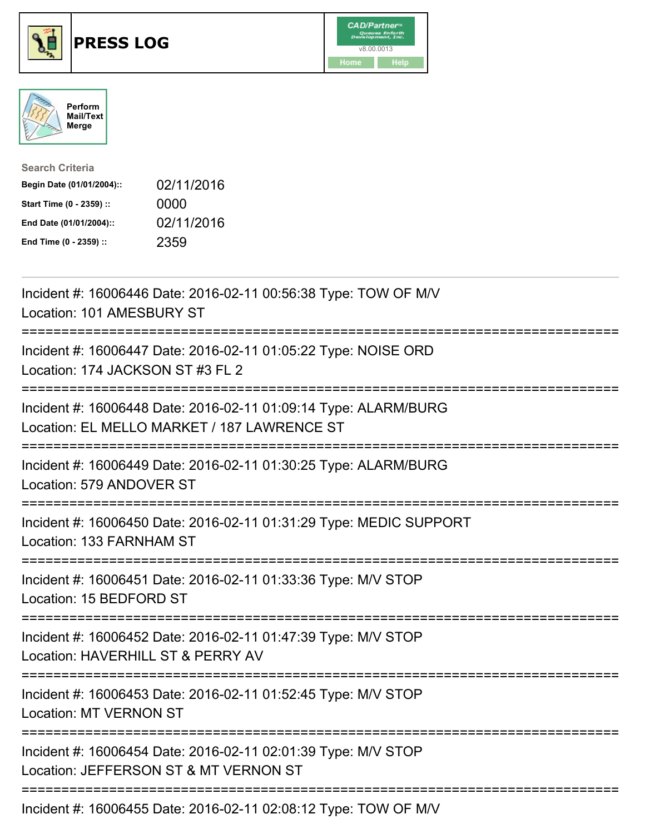

## **PRESS LOG** v8.00.0013





| <b>Search Criteria</b>    |            |
|---------------------------|------------|
| Begin Date (01/01/2004):: | 02/11/2016 |
| Start Time (0 - 2359) ::  | 0000       |
| End Date (01/01/2004)::   | 02/11/2016 |
| End Time (0 - 2359) ::    | 2359       |

Incident #: 16006446 Date: 2016-02-11 00:56:38 Type: TOW OF M/V Location: 101 AMESBURY ST =========================================================================== Incident #: 16006447 Date: 2016-02-11 01:05:22 Type: NOISE ORD Location: 174 JACKSON ST #3 FL 2 =========================================================================== Incident #: 16006448 Date: 2016-02-11 01:09:14 Type: ALARM/BURG Location: EL MELLO MARKET / 187 LAWRENCE ST =========================================================================== Incident #: 16006449 Date: 2016-02-11 01:30:25 Type: ALARM/BURG Location: 579 ANDOVER ST =========================================================================== Incident #: 16006450 Date: 2016-02-11 01:31:29 Type: MEDIC SUPPORT Location: 133 FARNHAM ST =========================================================================== Incident #: 16006451 Date: 2016-02-11 01:33:36 Type: M/V STOP Location: 15 BEDFORD ST =========================================================================== Incident #: 16006452 Date: 2016-02-11 01:47:39 Type: M/V STOP Location: HAVERHILL ST & PERRY AV =========================================================================== Incident #: 16006453 Date: 2016-02-11 01:52:45 Type: M/V STOP Location: MT VERNON ST =========================================================================== Incident #: 16006454 Date: 2016-02-11 02:01:39 Type: M/V STOP Location: JEFFERSON ST & MT VERNON ST =========================================================================== Incident #: 16006455 Date: 2016-02-11 02:08:12 Type: TOW OF M/V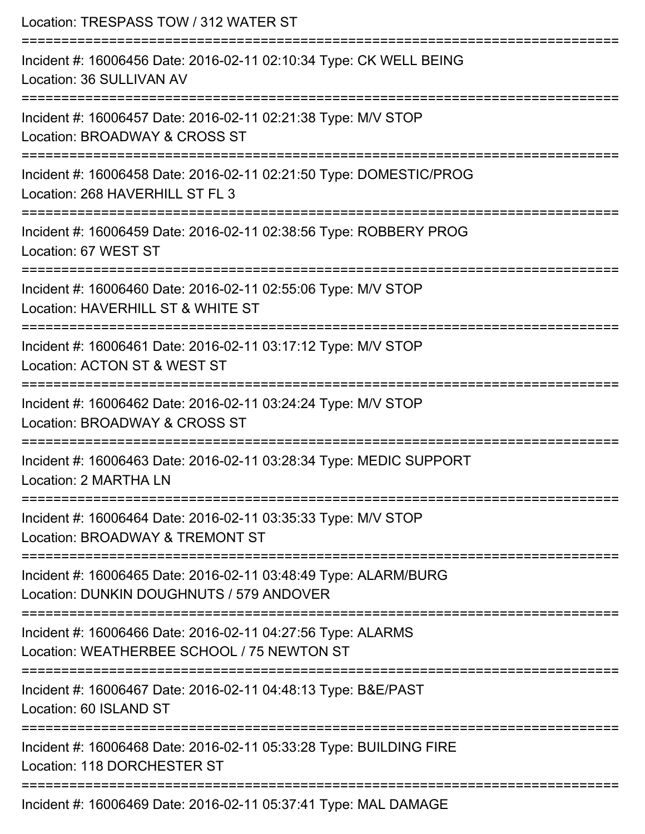| Location: TRESPASS TOW / 312 WATER ST                                                                                             |
|-----------------------------------------------------------------------------------------------------------------------------------|
| Incident #: 16006456 Date: 2016-02-11 02:10:34 Type: CK WELL BEING<br>Location: 36 SULLIVAN AV                                    |
| Incident #: 16006457 Date: 2016-02-11 02:21:38 Type: M/V STOP<br>Location: BROADWAY & CROSS ST                                    |
| Incident #: 16006458 Date: 2016-02-11 02:21:50 Type: DOMESTIC/PROG<br>Location: 268 HAVERHILL ST FL 3                             |
| :=======================<br>Incident #: 16006459 Date: 2016-02-11 02:38:56 Type: ROBBERY PROG<br>Location: 67 WEST ST             |
| Incident #: 16006460 Date: 2016-02-11 02:55:06 Type: M/V STOP<br>Location: HAVERHILL ST & WHITE ST<br>.========================== |
| Incident #: 16006461 Date: 2016-02-11 03:17:12 Type: M/V STOP<br>Location: ACTON ST & WEST ST                                     |
| Incident #: 16006462 Date: 2016-02-11 03:24:24 Type: M/V STOP<br>Location: BROADWAY & CROSS ST                                    |
| Incident #: 16006463 Date: 2016-02-11 03:28:34 Type: MEDIC SUPPORT<br>Location: 2 MARTHA LN                                       |
| Incident #: 16006464 Date: 2016-02-11 03:35:33 Type: M/V STOP<br>Location: BROADWAY & TREMONT ST                                  |
| Incident #: 16006465 Date: 2016-02-11 03:48:49 Type: ALARM/BURG<br>Location: DUNKIN DOUGHNUTS / 579 ANDOVER                       |
| ===================<br>Incident #: 16006466 Date: 2016-02-11 04:27:56 Type: ALARMS<br>Location: WEATHERBEE SCHOOL / 75 NEWTON ST  |
| ===================<br>Incident #: 16006467 Date: 2016-02-11 04:48:13 Type: B&E/PAST<br>Location: 60 ISLAND ST                    |
| Incident #: 16006468 Date: 2016-02-11 05:33:28 Type: BUILDING FIRE<br>Location: 118 DORCHESTER ST                                 |
| Incident #: 16006469 Date: 2016-02-11 05:37:41 Type: MAL DAMAGE                                                                   |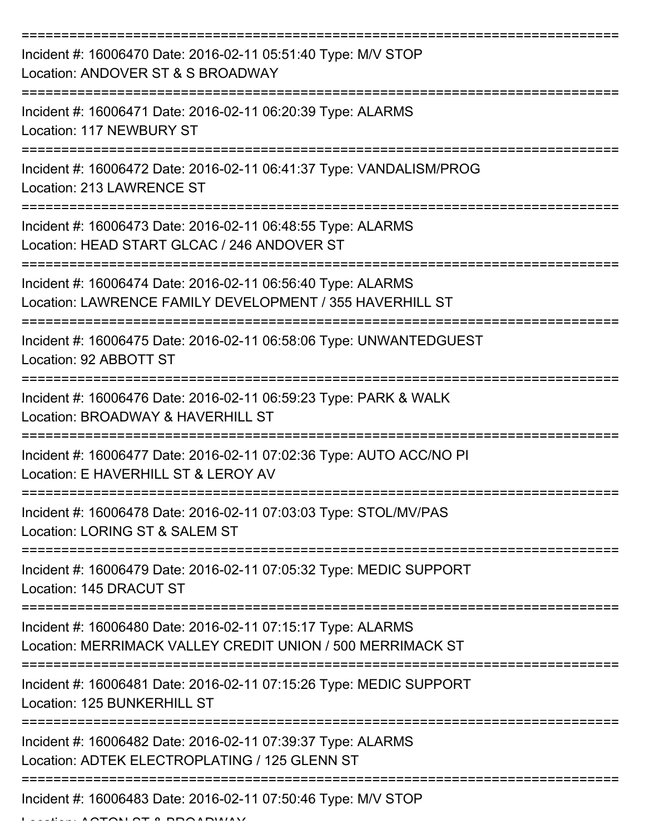| Incident #: 16006470 Date: 2016-02-11 05:51:40 Type: M/V STOP<br>Location: ANDOVER ST & S BROADWAY                        |
|---------------------------------------------------------------------------------------------------------------------------|
| Incident #: 16006471 Date: 2016-02-11 06:20:39 Type: ALARMS<br>Location: 117 NEWBURY ST                                   |
| Incident #: 16006472 Date: 2016-02-11 06:41:37 Type: VANDALISM/PROG<br>Location: 213 LAWRENCE ST                          |
| Incident #: 16006473 Date: 2016-02-11 06:48:55 Type: ALARMS<br>Location: HEAD START GLCAC / 246 ANDOVER ST                |
| Incident #: 16006474 Date: 2016-02-11 06:56:40 Type: ALARMS<br>Location: LAWRENCE FAMILY DEVELOPMENT / 355 HAVERHILL ST   |
| Incident #: 16006475 Date: 2016-02-11 06:58:06 Type: UNWANTEDGUEST<br>Location: 92 ABBOTT ST                              |
| Incident #: 16006476 Date: 2016-02-11 06:59:23 Type: PARK & WALK<br>Location: BROADWAY & HAVERHILL ST                     |
| Incident #: 16006477 Date: 2016-02-11 07:02:36 Type: AUTO ACC/NO PI<br>Location: E HAVERHILL ST & LEROY AV                |
| Incident #: 16006478 Date: 2016-02-11 07:03:03 Type: STOL/MV/PAS<br>Location: LORING ST & SALEM ST                        |
| Incident #: 16006479 Date: 2016-02-11 07:05:32 Type: MEDIC SUPPORT<br>Location: 145 DRACUT ST                             |
| Incident #: 16006480 Date: 2016-02-11 07:15:17 Type: ALARMS<br>Location: MERRIMACK VALLEY CREDIT UNION / 500 MERRIMACK ST |
| Incident #: 16006481 Date: 2016-02-11 07:15:26 Type: MEDIC SUPPORT<br>Location: 125 BUNKERHILL ST                         |
| Incident #: 16006482 Date: 2016-02-11 07:39:37 Type: ALARMS<br>Location: ADTEK ELECTROPLATING / 125 GLENN ST              |
| Incident #: 16006483 Date: 2016-02-11 07:50:46 Type: M/V STOP                                                             |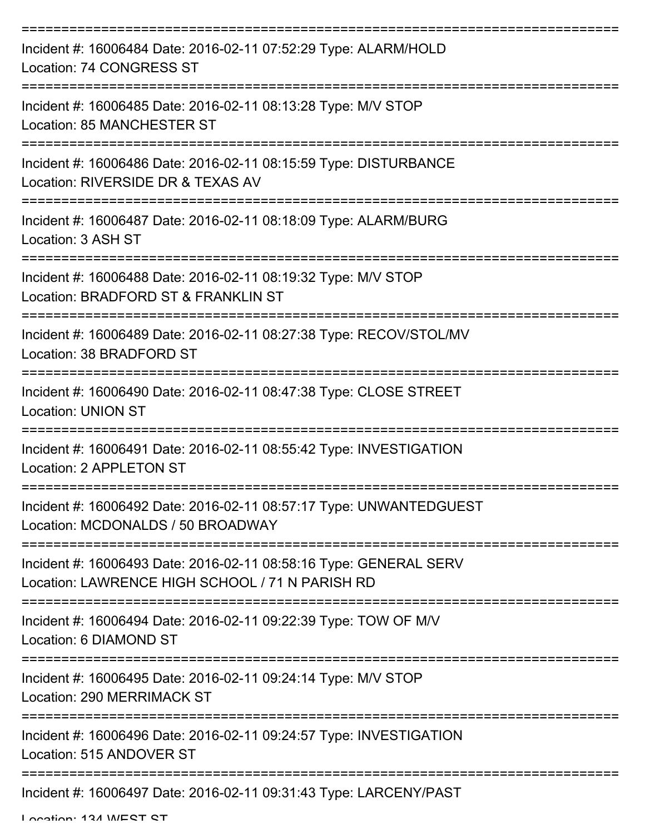| Incident #: 16006484 Date: 2016-02-11 07:52:29 Type: ALARM/HOLD<br>Location: 74 CONGRESS ST                          |
|----------------------------------------------------------------------------------------------------------------------|
| Incident #: 16006485 Date: 2016-02-11 08:13:28 Type: M/V STOP<br><b>Location: 85 MANCHESTER ST</b>                   |
| Incident #: 16006486 Date: 2016-02-11 08:15:59 Type: DISTURBANCE<br>Location: RIVERSIDE DR & TEXAS AV                |
| Incident #: 16006487 Date: 2016-02-11 08:18:09 Type: ALARM/BURG<br>Location: 3 ASH ST                                |
| Incident #: 16006488 Date: 2016-02-11 08:19:32 Type: M/V STOP<br>Location: BRADFORD ST & FRANKLIN ST                 |
| Incident #: 16006489 Date: 2016-02-11 08:27:38 Type: RECOV/STOL/MV<br>Location: 38 BRADFORD ST<br>===============    |
| Incident #: 16006490 Date: 2016-02-11 08:47:38 Type: CLOSE STREET<br><b>Location: UNION ST</b>                       |
| Incident #: 16006491 Date: 2016-02-11 08:55:42 Type: INVESTIGATION<br>Location: 2 APPLETON ST                        |
| Incident #: 16006492 Date: 2016-02-11 08:57:17 Type: UNWANTEDGUEST<br>Location: MCDONALDS / 50 BROADWAY              |
| Incident #: 16006493 Date: 2016-02-11 08:58:16 Type: GENERAL SERV<br>Location: LAWRENCE HIGH SCHOOL / 71 N PARISH RD |
| Incident #: 16006494 Date: 2016-02-11 09:22:39 Type: TOW OF M/V<br>Location: 6 DIAMOND ST                            |
| Incident #: 16006495 Date: 2016-02-11 09:24:14 Type: M/V STOP<br><b>Location: 290 MERRIMACK ST</b>                   |
| Incident #: 16006496 Date: 2016-02-11 09:24:57 Type: INVESTIGATION<br>Location: 515 ANDOVER ST                       |
| Incident #: 16006497 Date: 2016-02-11 09:31:43 Type: LARCENY/PAST                                                    |

Location: 124 MECT CT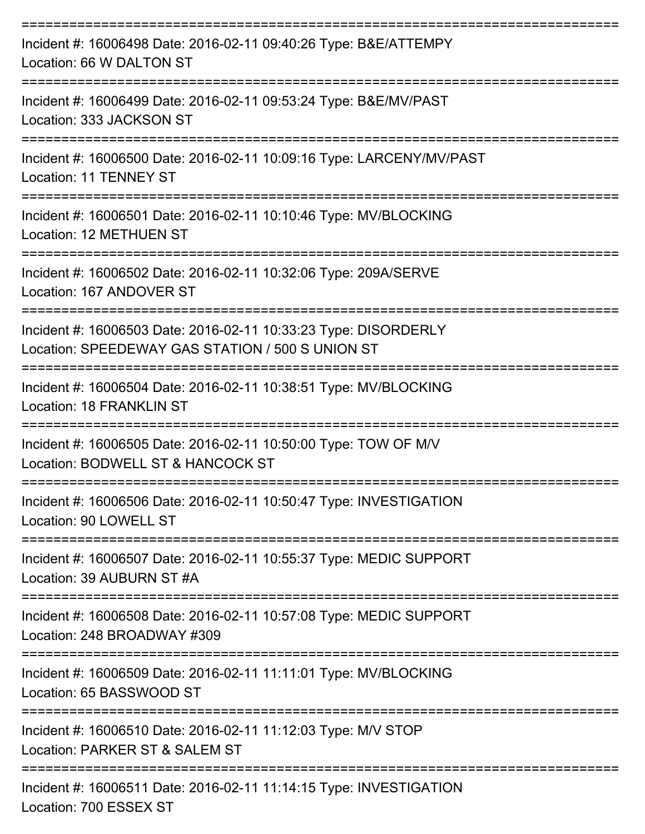| Incident #: 16006498 Date: 2016-02-11 09:40:26 Type: B&E/ATTEMPY<br>Location: 66 W DALTON ST                             |
|--------------------------------------------------------------------------------------------------------------------------|
| Incident #: 16006499 Date: 2016-02-11 09:53:24 Type: B&E/MV/PAST<br>Location: 333 JACKSON ST                             |
| Incident #: 16006500 Date: 2016-02-11 10:09:16 Type: LARCENY/MV/PAST<br>Location: 11 TENNEY ST                           |
| Incident #: 16006501 Date: 2016-02-11 10:10:46 Type: MV/BLOCKING<br>Location: 12 METHUEN ST                              |
| Incident #: 16006502 Date: 2016-02-11 10:32:06 Type: 209A/SERVE<br>Location: 167 ANDOVER ST                              |
| Incident #: 16006503 Date: 2016-02-11 10:33:23 Type: DISORDERLY<br>Location: SPEEDEWAY GAS STATION / 500 S UNION ST      |
| Incident #: 16006504 Date: 2016-02-11 10:38:51 Type: MV/BLOCKING<br>Location: 18 FRANKLIN ST                             |
| Incident #: 16006505 Date: 2016-02-11 10:50:00 Type: TOW OF M/V<br>Location: BODWELL ST & HANCOCK ST<br>---------------- |
| Incident #: 16006506 Date: 2016-02-11 10:50:47 Type: INVESTIGATION<br>Location: 90 LOWELL ST                             |
| Incident #: 16006507 Date: 2016-02-11 10:55:37 Type: MEDIC SUPPORT<br>Location: 39 AUBURN ST #A                          |
| Incident #: 16006508 Date: 2016-02-11 10:57:08 Type: MEDIC SUPPORT<br>Location: 248 BROADWAY #309                        |
| Incident #: 16006509 Date: 2016-02-11 11:11:01 Type: MV/BLOCKING<br>Location: 65 BASSWOOD ST                             |
| Incident #: 16006510 Date: 2016-02-11 11:12:03 Type: M/V STOP<br>Location: PARKER ST & SALEM ST                          |
| Incident #: 16006511 Date: 2016-02-11 11:14:15 Type: INVESTIGATION                                                       |

Location: 700 ESSEX ST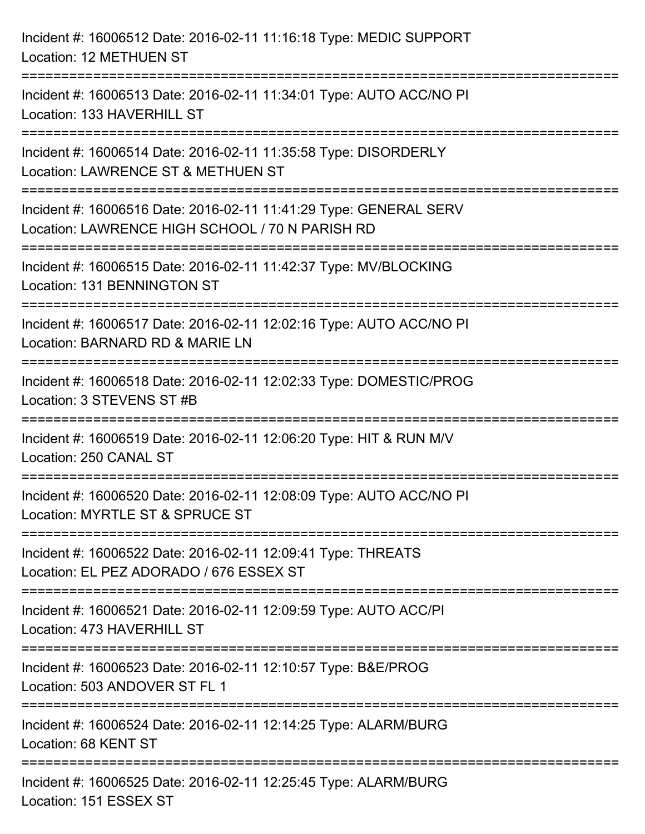| Incident #: 16006512 Date: 2016-02-11 11:16:18 Type: MEDIC SUPPORT<br>Location: 12 METHUEN ST                                             |
|-------------------------------------------------------------------------------------------------------------------------------------------|
| Incident #: 16006513 Date: 2016-02-11 11:34:01 Type: AUTO ACC/NO PI<br>Location: 133 HAVERHILL ST                                         |
| Incident #: 16006514 Date: 2016-02-11 11:35:58 Type: DISORDERLY<br>Location: LAWRENCE ST & METHUEN ST                                     |
| Incident #: 16006516 Date: 2016-02-11 11:41:29 Type: GENERAL SERV<br>Location: LAWRENCE HIGH SCHOOL / 70 N PARISH RD                      |
| Incident #: 16006515 Date: 2016-02-11 11:42:37 Type: MV/BLOCKING<br>Location: 131 BENNINGTON ST<br>:===================================== |
| Incident #: 16006517 Date: 2016-02-11 12:02:16 Type: AUTO ACC/NO PI<br>Location: BARNARD RD & MARIE LN                                    |
| Incident #: 16006518 Date: 2016-02-11 12:02:33 Type: DOMESTIC/PROG<br>Location: 3 STEVENS ST #B                                           |
| Incident #: 16006519 Date: 2016-02-11 12:06:20 Type: HIT & RUN M/V<br>Location: 250 CANAL ST                                              |
| Incident #: 16006520 Date: 2016-02-11 12:08:09 Type: AUTO ACC/NO PI<br>Location: MYRTLE ST & SPRUCE ST                                    |
| Incident #: 16006522 Date: 2016-02-11 12:09:41 Type: THREATS<br>Location: EL PEZ ADORADO / 676 ESSEX ST                                   |
| Incident #: 16006521 Date: 2016-02-11 12:09:59 Type: AUTO ACC/PI<br>Location: 473 HAVERHILL ST                                            |
| Incident #: 16006523 Date: 2016-02-11 12:10:57 Type: B&E/PROG<br>Location: 503 ANDOVER ST FL 1                                            |
| Incident #: 16006524 Date: 2016-02-11 12:14:25 Type: ALARM/BURG<br>Location: 68 KENT ST                                                   |
| Incident #: 16006525 Date: 2016-02-11 12:25:45 Type: ALARM/BURG<br>Location: 151 ESSEX ST                                                 |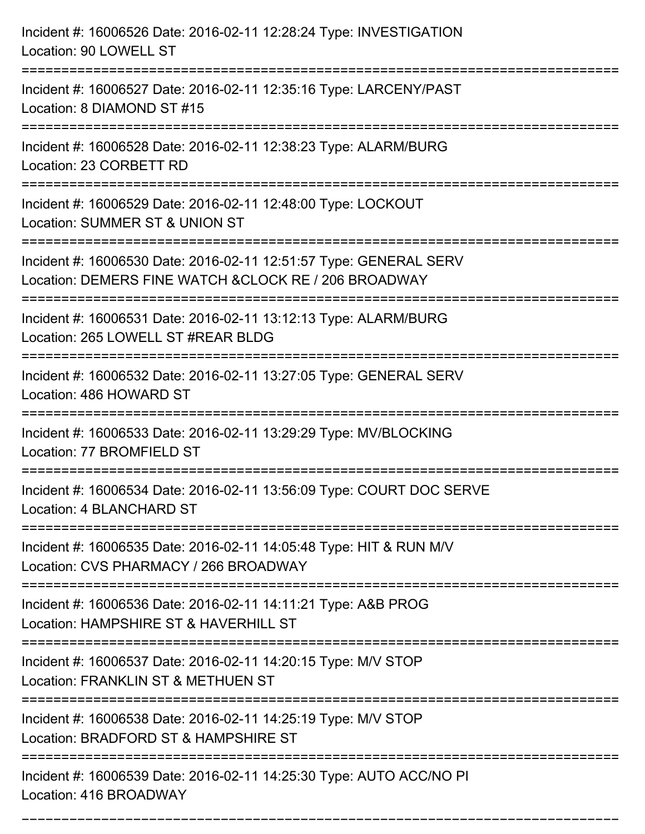| Incident #: 16006526 Date: 2016-02-11 12:28:24 Type: INVESTIGATION<br>Location: 90 LOWELL ST                                                                                               |
|--------------------------------------------------------------------------------------------------------------------------------------------------------------------------------------------|
| Incident #: 16006527 Date: 2016-02-11 12:35:16 Type: LARCENY/PAST<br>Location: 8 DIAMOND ST #15                                                                                            |
| Incident #: 16006528 Date: 2016-02-11 12:38:23 Type: ALARM/BURG<br>Location: 23 CORBETT RD                                                                                                 |
| Incident #: 16006529 Date: 2016-02-11 12:48:00 Type: LOCKOUT<br>Location: SUMMER ST & UNION ST                                                                                             |
| Incident #: 16006530 Date: 2016-02-11 12:51:57 Type: GENERAL SERV<br>Location: DEMERS FINE WATCH & CLOCK RE / 206 BROADWAY<br>=============================<br>:========================== |
| Incident #: 16006531 Date: 2016-02-11 13:12:13 Type: ALARM/BURG<br>Location: 265 LOWELL ST #REAR BLDG                                                                                      |
| Incident #: 16006532 Date: 2016-02-11 13:27:05 Type: GENERAL SERV<br>Location: 486 HOWARD ST                                                                                               |
| Incident #: 16006533 Date: 2016-02-11 13:29:29 Type: MV/BLOCKING<br>Location: 77 BROMFIELD ST                                                                                              |
| Incident #: 16006534 Date: 2016-02-11 13:56:09 Type: COURT DOC SERVE<br>Location: 4 BLANCHARD ST                                                                                           |
| Incident #: 16006535 Date: 2016-02-11 14:05:48 Type: HIT & RUN M/V<br>Location: CVS PHARMACY / 266 BROADWAY                                                                                |
| Incident #: 16006536 Date: 2016-02-11 14:11:21 Type: A&B PROG<br>Location: HAMPSHIRE ST & HAVERHILL ST                                                                                     |
| Incident #: 16006537 Date: 2016-02-11 14:20:15 Type: M/V STOP<br>Location: FRANKLIN ST & METHUEN ST                                                                                        |
| Incident #: 16006538 Date: 2016-02-11 14:25:19 Type: M/V STOP<br>Location: BRADFORD ST & HAMPSHIRE ST                                                                                      |
| Incident #: 16006539 Date: 2016-02-11 14:25:30 Type: AUTO ACC/NO PI<br>Location: 416 BROADWAY                                                                                              |

===========================================================================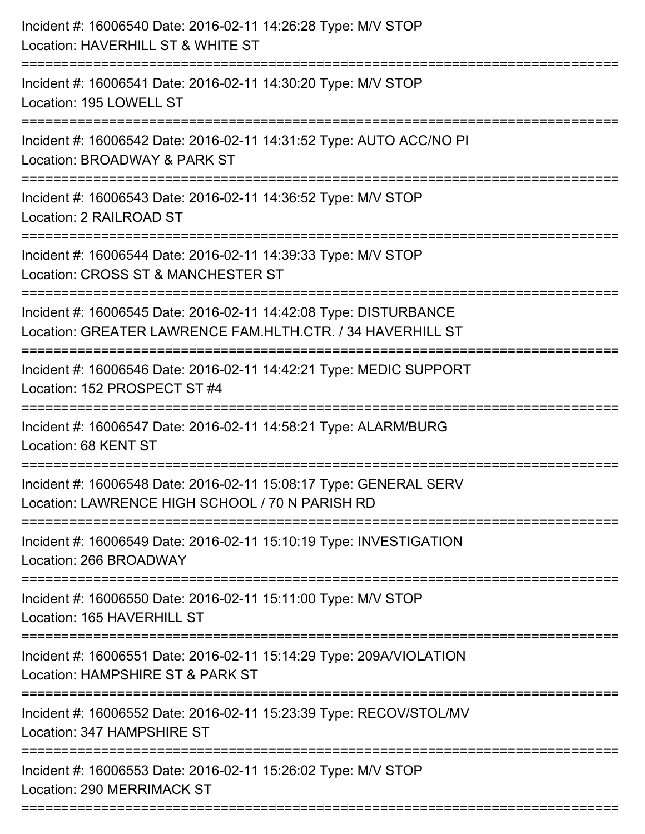| Incident #: 16006540 Date: 2016-02-11 14:26:28 Type: M/V STOP<br>Location: HAVERHILL ST & WHITE ST<br>====================     |
|--------------------------------------------------------------------------------------------------------------------------------|
| Incident #: 16006541 Date: 2016-02-11 14:30:20 Type: M/V STOP<br>Location: 195 LOWELL ST                                       |
| Incident #: 16006542 Date: 2016-02-11 14:31:52 Type: AUTO ACC/NO PI<br>Location: BROADWAY & PARK ST<br>:=====================  |
| Incident #: 16006543 Date: 2016-02-11 14:36:52 Type: M/V STOP<br>Location: 2 RAILROAD ST                                       |
| Incident #: 16006544 Date: 2016-02-11 14:39:33 Type: M/V STOP<br>Location: CROSS ST & MANCHESTER ST<br>====================    |
| Incident #: 16006545 Date: 2016-02-11 14:42:08 Type: DISTURBANCE<br>Location: GREATER LAWRENCE FAM.HLTH.CTR. / 34 HAVERHILL ST |
| Incident #: 16006546 Date: 2016-02-11 14:42:21 Type: MEDIC SUPPORT<br>Location: 152 PROSPECT ST #4                             |
| Incident #: 16006547 Date: 2016-02-11 14:58:21 Type: ALARM/BURG<br>Location: 68 KENT ST                                        |
| Incident #: 16006548 Date: 2016-02-11 15:08:17 Type: GENERAL SERV<br>Location: LAWRENCE HIGH SCHOOL / 70 N PARISH RD           |
| Incident #: 16006549 Date: 2016-02-11 15:10:19 Type: INVESTIGATION<br>Location: 266 BROADWAY                                   |
| Incident #: 16006550 Date: 2016-02-11 15:11:00 Type: M/V STOP<br>Location: 165 HAVERHILL ST                                    |
| Incident #: 16006551 Date: 2016-02-11 15:14:29 Type: 209A/VIOLATION<br>Location: HAMPSHIRE ST & PARK ST                        |
| Incident #: 16006552 Date: 2016-02-11 15:23:39 Type: RECOV/STOL/MV<br>Location: 347 HAMPSHIRE ST                               |
| Incident #: 16006553 Date: 2016-02-11 15:26:02 Type: M/V STOP<br>Location: 290 MERRIMACK ST                                    |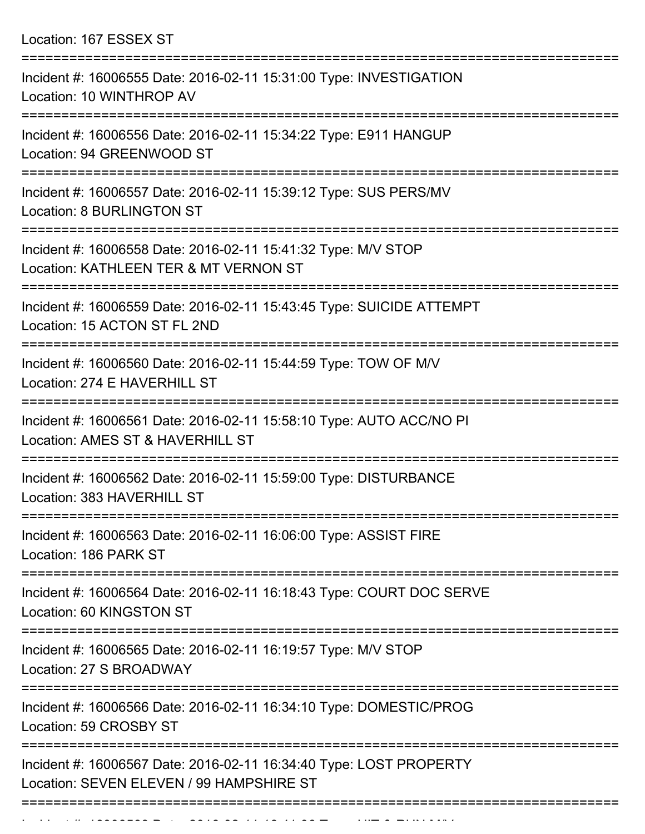Location: 167 ESSEX ST

| Incident #: 16006555 Date: 2016-02-11 15:31:00 Type: INVESTIGATION<br>Location: 10 WINTHROP AV                 |
|----------------------------------------------------------------------------------------------------------------|
| Incident #: 16006556 Date: 2016-02-11 15:34:22 Type: E911 HANGUP<br>Location: 94 GREENWOOD ST                  |
| Incident #: 16006557 Date: 2016-02-11 15:39:12 Type: SUS PERS/MV<br><b>Location: 8 BURLINGTON ST</b>           |
| Incident #: 16006558 Date: 2016-02-11 15:41:32 Type: M/V STOP<br>Location: KATHLEEN TER & MT VERNON ST         |
| Incident #: 16006559 Date: 2016-02-11 15:43:45 Type: SUICIDE ATTEMPT<br>Location: 15 ACTON ST FL 2ND           |
| Incident #: 16006560 Date: 2016-02-11 15:44:59 Type: TOW OF M/V<br>Location: 274 E HAVERHILL ST                |
| Incident #: 16006561 Date: 2016-02-11 15:58:10 Type: AUTO ACC/NO PI<br>Location: AMES ST & HAVERHILL ST        |
| Incident #: 16006562 Date: 2016-02-11 15:59:00 Type: DISTURBANCE<br>Location: 383 HAVERHILL ST                 |
| ---------------<br>Incident #: 16006563 Date: 2016-02-11 16:06:00 Type: ASSIST FIRE<br>Location: 186 PARK ST   |
| Incident #: 16006564 Date: 2016-02-11 16:18:43 Type: COURT DOC SERVE<br>Location: 60 KINGSTON ST               |
| Incident #: 16006565 Date: 2016-02-11 16:19:57 Type: M/V STOP<br>Location: 27 S BROADWAY                       |
| Incident #: 16006566 Date: 2016-02-11 16:34:10 Type: DOMESTIC/PROG<br>Location: 59 CROSBY ST                   |
| Incident #: 16006567 Date: 2016-02-11 16:34:40 Type: LOST PROPERTY<br>Location: SEVEN ELEVEN / 99 HAMPSHIRE ST |
|                                                                                                                |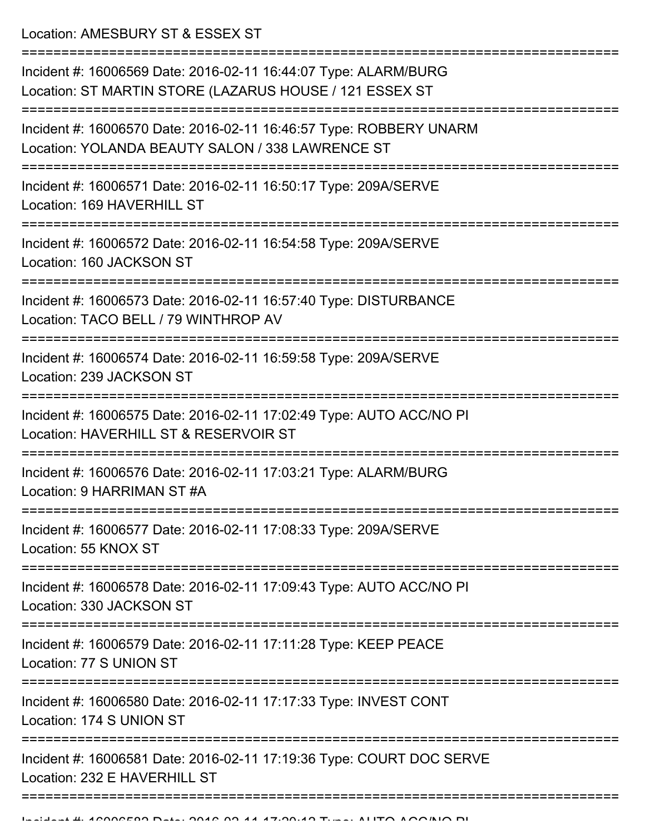Location: AMESBURY ST & ESSEX ST

=========================================================================== Incident #: 16006569 Date: 2016-02-11 16:44:07 Type: ALARM/BURG Location: ST MARTIN STORE (LAZARUS HOUSE / 121 ESSEX ST =========================================================================== Incident #: 16006570 Date: 2016-02-11 16:46:57 Type: ROBBERY UNARM Location: YOLANDA BEAUTY SALON / 338 LAWRENCE ST =========================================================================== Incident #: 16006571 Date: 2016-02-11 16:50:17 Type: 209A/SERVE Location: 169 HAVERHILL ST =========================================================================== Incident #: 16006572 Date: 2016-02-11 16:54:58 Type: 209A/SERVE Location: 160 JACKSON ST =========================================================================== Incident #: 16006573 Date: 2016-02-11 16:57:40 Type: DISTURBANCE Location: TACO BELL / 79 WINTHROP AV =========================================================================== Incident #: 16006574 Date: 2016-02-11 16:59:58 Type: 209A/SERVE Location: 239 JACKSON ST =========================================================================== Incident #: 16006575 Date: 2016-02-11 17:02:49 Type: AUTO ACC/NO PI Location: HAVERHILL ST & RESERVOIR ST =========================================================================== Incident #: 16006576 Date: 2016-02-11 17:03:21 Type: ALARM/BURG Location: 9 HARRIMAN ST #A =========================================================================== Incident #: 16006577 Date: 2016-02-11 17:08:33 Type: 209A/SERVE Location: 55 KNOX ST =========================================================================== Incident #: 16006578 Date: 2016-02-11 17:09:43 Type: AUTO ACC/NO PI Location: 330 JACKSON ST =========================================================================== Incident #: 16006579 Date: 2016-02-11 17:11:28 Type: KEEP PEACE Location: 77 S UNION ST =========================================================================== Incident #: 16006580 Date: 2016-02-11 17:17:33 Type: INVEST CONT Location: 174 S UNION ST =========================================================================== Incident #: 16006581 Date: 2016-02-11 17:19:36 Type: COURT DOC SERVE Location: 232 E HAVERHILL ST ===============================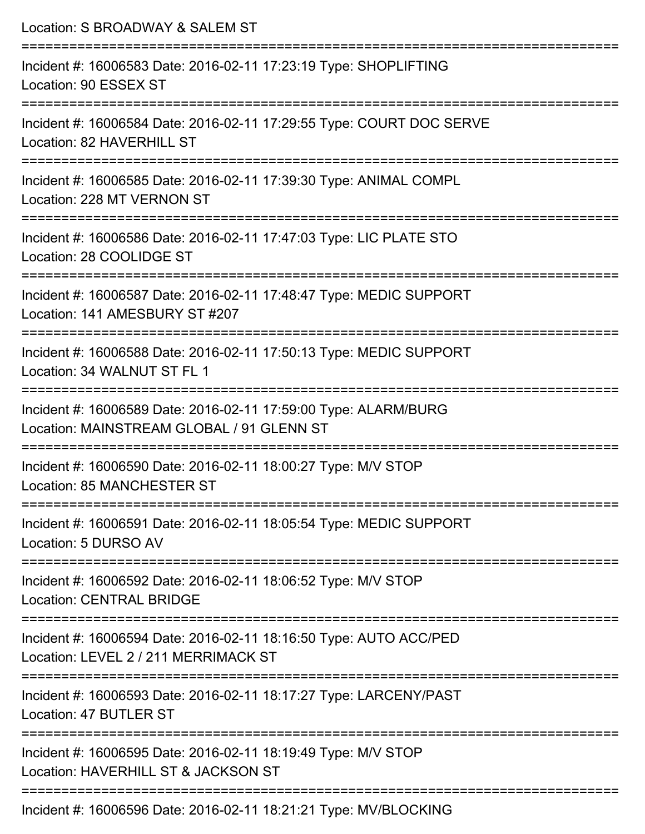| Location: S BROADWAY & SALEM ST                                                                              |
|--------------------------------------------------------------------------------------------------------------|
| Incident #: 16006583 Date: 2016-02-11 17:23:19 Type: SHOPLIFTING<br>Location: 90 ESSEX ST                    |
| Incident #: 16006584 Date: 2016-02-11 17:29:55 Type: COURT DOC SERVE<br>Location: 82 HAVERHILL ST            |
| Incident #: 16006585 Date: 2016-02-11 17:39:30 Type: ANIMAL COMPL<br>Location: 228 MT VERNON ST              |
| Incident #: 16006586 Date: 2016-02-11 17:47:03 Type: LIC PLATE STO<br>Location: 28 COOLIDGE ST               |
| Incident #: 16006587 Date: 2016-02-11 17:48:47 Type: MEDIC SUPPORT<br>Location: 141 AMESBURY ST #207         |
| Incident #: 16006588 Date: 2016-02-11 17:50:13 Type: MEDIC SUPPORT<br>Location: 34 WALNUT ST FL 1            |
| Incident #: 16006589 Date: 2016-02-11 17:59:00 Type: ALARM/BURG<br>Location: MAINSTREAM GLOBAL / 91 GLENN ST |
| Incident #: 16006590 Date: 2016-02-11 18:00:27 Type: M/V STOP<br>Location: 85 MANCHESTER ST                  |
| Incident #: 16006591 Date: 2016-02-11 18:05:54 Type: MEDIC SUPPORT<br>Location: 5 DURSO AV                   |
| Incident #: 16006592 Date: 2016-02-11 18:06:52 Type: M/V STOP<br><b>Location: CENTRAL BRIDGE</b>             |
| Incident #: 16006594 Date: 2016-02-11 18:16:50 Type: AUTO ACC/PED<br>Location: LEVEL 2 / 211 MERRIMACK ST    |
| Incident #: 16006593 Date: 2016-02-11 18:17:27 Type: LARCENY/PAST<br>Location: 47 BUTLER ST                  |
| Incident #: 16006595 Date: 2016-02-11 18:19:49 Type: M/V STOP<br>Location: HAVERHILL ST & JACKSON ST         |
| Incident #: 16006596 Date: 2016-02-11 18:21:21 Type: MV/BLOCKING                                             |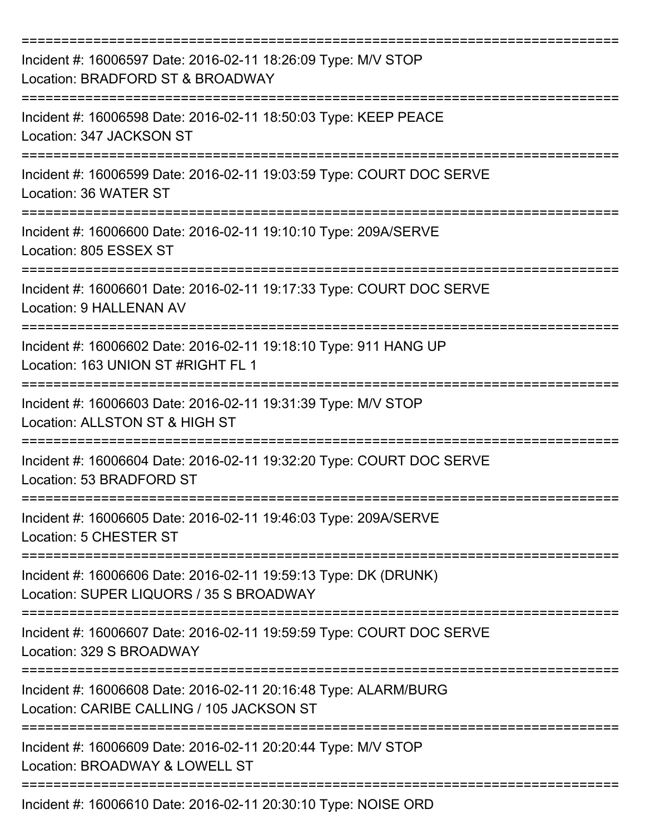| Incident #: 16006597 Date: 2016-02-11 18:26:09 Type: M/V STOP<br>Location: BRADFORD ST & BROADWAY            |
|--------------------------------------------------------------------------------------------------------------|
| Incident #: 16006598 Date: 2016-02-11 18:50:03 Type: KEEP PEACE<br>Location: 347 JACKSON ST                  |
| Incident #: 16006599 Date: 2016-02-11 19:03:59 Type: COURT DOC SERVE<br>Location: 36 WATER ST                |
| Incident #: 16006600 Date: 2016-02-11 19:10:10 Type: 209A/SERVE<br>Location: 805 ESSEX ST                    |
| Incident #: 16006601 Date: 2016-02-11 19:17:33 Type: COURT DOC SERVE<br><b>Location: 9 HALLENAN AV</b>       |
| Incident #: 16006602 Date: 2016-02-11 19:18:10 Type: 911 HANG UP<br>Location: 163 UNION ST #RIGHT FL 1       |
| Incident #: 16006603 Date: 2016-02-11 19:31:39 Type: M/V STOP<br>Location: ALLSTON ST & HIGH ST              |
| Incident #: 16006604 Date: 2016-02-11 19:32:20 Type: COURT DOC SERVE<br>Location: 53 BRADFORD ST             |
| Incident #: 16006605 Date: 2016-02-11 19:46:03 Type: 209A/SERVE<br>Location: 5 CHESTER ST                    |
| Incident #: 16006606 Date: 2016-02-11 19:59:13 Type: DK (DRUNK)<br>Location: SUPER LIQUORS / 35 S BROADWAY   |
| Incident #: 16006607 Date: 2016-02-11 19:59:59 Type: COURT DOC SERVE<br>Location: 329 S BROADWAY             |
| Incident #: 16006608 Date: 2016-02-11 20:16:48 Type: ALARM/BURG<br>Location: CARIBE CALLING / 105 JACKSON ST |
| Incident #: 16006609 Date: 2016-02-11 20:20:44 Type: M/V STOP<br>Location: BROADWAY & LOWELL ST              |
| Incident #: 16006610 Date: 2016-02-11 20:30:10 Type: NOISE ORD                                               |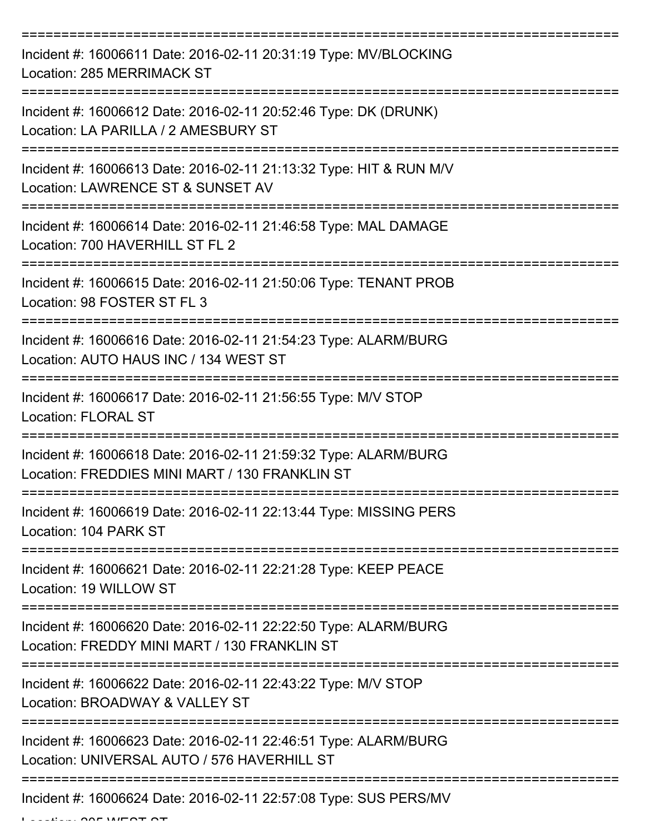| Incident #: 16006611 Date: 2016-02-11 20:31:19 Type: MV/BLOCKING<br>Location: 285 MERRIMACK ST                    |
|-------------------------------------------------------------------------------------------------------------------|
| Incident #: 16006612 Date: 2016-02-11 20:52:46 Type: DK (DRUNK)<br>Location: LA PARILLA / 2 AMESBURY ST           |
| Incident #: 16006613 Date: 2016-02-11 21:13:32 Type: HIT & RUN M/V<br>Location: LAWRENCE ST & SUNSET AV           |
| Incident #: 16006614 Date: 2016-02-11 21:46:58 Type: MAL DAMAGE<br>Location: 700 HAVERHILL ST FL 2                |
| Incident #: 16006615 Date: 2016-02-11 21:50:06 Type: TENANT PROB<br>Location: 98 FOSTER ST FL 3                   |
| Incident #: 16006616 Date: 2016-02-11 21:54:23 Type: ALARM/BURG<br>Location: AUTO HAUS INC / 134 WEST ST          |
| Incident #: 16006617 Date: 2016-02-11 21:56:55 Type: M/V STOP<br><b>Location: FLORAL ST</b>                       |
| Incident #: 16006618 Date: 2016-02-11 21:59:32 Type: ALARM/BURG<br>Location: FREDDIES MINI MART / 130 FRANKLIN ST |
| Incident #: 16006619 Date: 2016-02-11 22:13:44 Type: MISSING PERS<br>Location: 104 PARK ST                        |
| Incident #: 16006621 Date: 2016-02-11 22:21:28 Type: KEEP PEACE<br>Location: 19 WILLOW ST                         |
| Incident #: 16006620 Date: 2016-02-11 22:22:50 Type: ALARM/BURG<br>Location: FREDDY MINI MART / 130 FRANKLIN ST   |
| Incident #: 16006622 Date: 2016-02-11 22:43:22 Type: M/V STOP<br>Location: BROADWAY & VALLEY ST                   |
| Incident #: 16006623 Date: 2016-02-11 22:46:51 Type: ALARM/BURG<br>Location: UNIVERSAL AUTO / 576 HAVERHILL ST    |
| Incident #: 16006624 Date: 2016-02-11 22:57:08 Type: SUS PERS/MV                                                  |